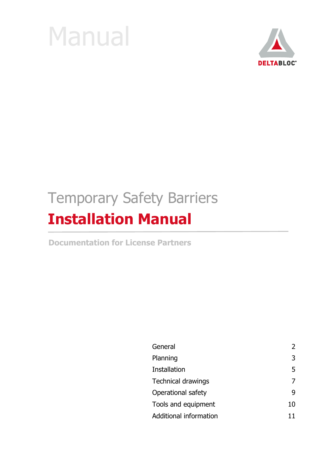



# Temporary Safety Barriers **Installation Manual**

**Documentation for License Partners**

| General                   |    |
|---------------------------|----|
| Planning                  | 3  |
| <b>Installation</b>       | 5  |
| <b>Technical drawings</b> |    |
| Operational safety        |    |
| Tools and equipment       | 10 |
| Additional information    |    |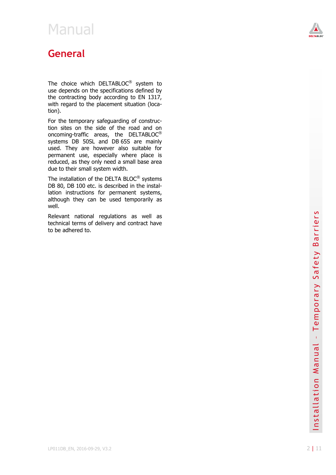

### <span id="page-1-0"></span>**General**

The choice which DELTABLOC $^{\circledR}$  system to use d epends on the specifications defined by the contracting body according to EN 1317, with regard to the placement situation (location).

For the temporary safeguarding of construction sites on the side of the road and on oncoming-traffic areas, the DELTABLOC<sup>®</sup> systems DB 50SL and DB 65S are mainly used. They are however also suitable for perm anent use, especially where place is reduced, as they only need a small base area due to their small system width.

The installation of the DELTA BLOC<sup>®</sup> systems DB 80, DB 100 etc. is described in the installation instructions for permanent systems, although they can be used tempora rily as well .

Relevant national regulations as well as techn ical terms of delivery and contract have to be adh ered to.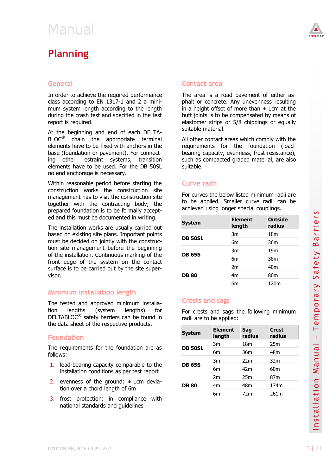### <span id="page-2-0"></span>**Planning**

#### **General**

In order to achieve the required performance class according to EN 1317-1 and 2 a minimum system length according to the length during the crash test and specified in the test report is required.

At the beginning and end of each DELTA-BLOC<sup>®</sup> chain the appropriate terminal elements have to be fixed with anchors in the base (foundation or pavement). For connecting other restraint systems, transition elements have to be used. For the DB 50SL no end anchorage is necessary.

Within reasonable period before starting the construction works the construction site management has to visit the construction site together with the contracting body; the prepared foundation is to be formally accepted and this must be documented in writing.

The installation works are usually carried out based on existing site plans. Important points must be decided on jointly with the construction site management before the beginning of the installation. Continuous marking of the front edge of the system on the contact surface is to be carried out by the site supervisor.

#### **Minimum installation length**

#### **Foundation**

- 1. load-bearing capacity comparable to the installation conditions as per test report
- 2. evenness of the ground:  $\pm$  1cm deviation over a chord length of 6m
- 3. frost protection: in compliance with national standards and guidelines



#### **Contact area**

The area is a road pavement of either asphalt or concrete. Any unevenness resulting in a height offset of more than  $\pm$  1cm at the butt joints is to be compensated by means of elastomer strips or 5/8 chippings or equally suitable material.

All other contact areas which comply with the requirements for the foundation (loadbearing capacity, evenness, frost resistance), such as compacted graded material, are also suitable.

#### **Curve radii**

For curves the below listed minimum radii are to be applied. Smaller curve radii can be achieved using longer special couplings.

| <b>System</b>  | <b>Element</b><br>length | <b>Outside</b><br>radius |
|----------------|--------------------------|--------------------------|
|                | 3m                       | 18 <sub>m</sub>          |
| <b>DB 50SL</b> | 6m                       | 36m                      |
|                | 3m                       | 19 <sub>m</sub>          |
| <b>DB 65S</b>  | 6m                       | 38 <sub>m</sub>          |
|                | 2m                       | 40 <sub>m</sub>          |
| <b>DB80</b>    | 4 <sub>m</sub>           | 80 <sub>m</sub>          |
|                | бm                       | 120m                     |

#### **Crests and sags**

|                                                                                                                                                                                                    |                                                                           |                                                                                                 | 6m             |                        | 120m            |                                                                      |
|----------------------------------------------------------------------------------------------------------------------------------------------------------------------------------------------------|---------------------------------------------------------------------------|-------------------------------------------------------------------------------------------------|----------------|------------------------|-----------------|----------------------------------------------------------------------|
|                                                                                                                                                                                                    | Minimum installation length                                               |                                                                                                 |                |                        |                 | こ<br>$\overline{\mathbf{C}}$                                         |
| The tested and approved minimum installa-<br>lengths<br>lengths)<br>tion<br>(system<br>for<br>DELTABLOC <sup>®</sup> safety barriers can be found in<br>the data sheet of the respective products. |                                                                           | <b>Crests and sags</b><br>For crests and sags the following minimum<br>radii are to be applied: |                |                        |                 |                                                                      |
|                                                                                                                                                                                                    |                                                                           |                                                                                                 |                |                        |                 | empo                                                                 |
| <b>Foundation</b>                                                                                                                                                                                  | <b>System</b>                                                             | <b>Element</b><br>length                                                                        | Sag<br>radius  | <b>Crest</b><br>radius |                 |                                                                      |
| The requirements for the foundation are as                                                                                                                                                         | <b>DB 50SL</b>                                                            | 3m                                                                                              | 18m            | 25m                    |                 |                                                                      |
| follows:                                                                                                                                                                                           |                                                                           | 6 <sub>m</sub>                                                                                  | 36m            | 48 <sub>m</sub>        | Ja              |                                                                      |
| load-bearing capacity comparable to the<br>1.                                                                                                                                                      | <b>DB 65S</b>                                                             | 3m                                                                                              | 22m            | 32m                    | $\overline{a}$  |                                                                      |
|                                                                                                                                                                                                    | installation conditions as per test report                                |                                                                                                 | 6m             | 42m                    | 60 <sub>m</sub> | ₹                                                                    |
| 2.                                                                                                                                                                                                 | evenness of the ground: $\pm$ 1cm devia-                                  |                                                                                                 | 2m             | 25m                    | 87 <sub>m</sub> |                                                                      |
|                                                                                                                                                                                                    | tion over a chord length of 6m                                            | <b>DB 80</b>                                                                                    | 4m             | 48m                    | 174m            | on                                                                   |
| 3.                                                                                                                                                                                                 | frost protection: in compliance with<br>national standards and guidelines |                                                                                                 | 6 <sub>m</sub> | 72m                    | 261m            | Φ<br>$\mathbf{\overline{d}}$<br>$\frac{1}{a}$<br>پ<br>S <sub>n</sub> |
|                                                                                                                                                                                                    | LP011DB EN, 2016-09-29, V3.2                                              |                                                                                                 |                |                        |                 | 3 I<br>11                                                            |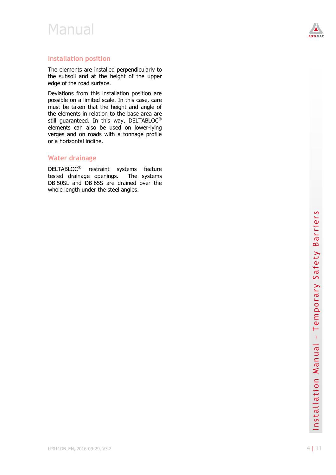

#### **Installation position**

The elements are installed perpendi cularly to the subsoil and at the height of the upper edge of the road surface.

Deviations from this installation position are possible on a limited scale. In this case, care must be taken that the height and angle of the elements in relation to th e base area are still guaranteed. In this way, DELTABLOC<sup>®</sup> elements can also be used on lower -lying verges and on roads with a tonnage profile or a horizontal i ncline.

#### **Water drainage**

DELTABLOC<sup>®</sup> restraint systems feature tested drainage openings. The systems DB 50SL and DB 65S are drained over the whole length under the steel angles.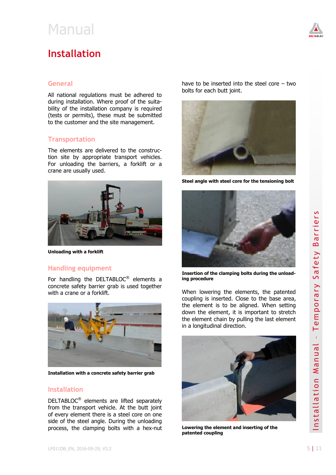### <span id="page-4-0"></span>**Installation**

#### **General**

All national regulations must be adhered to during installation. Where proof of the suitability of the installation company is required (tests or permits), these must be submitted to the customer and the site management.

#### **Transportation**

The elements are delivered to the construction site by appropriate transport vehicles. For unloading the barriers, a forklift or a crane are usually used.



**Unloading with a forklift**

#### **Handling equipment**

For handling the DELTABLOC<sup>®</sup> elements a concrete safety barrier grab is used together with a crane or a forklift.



**Installation with a concrete safety barrier grab**

#### **Installation**

DELTABLOC<sup>®</sup> elements are lifted separately from the transport vehicle. At the butt joint of every element there is a steel core on one side of the steel angle. During the unloading process, the clamping bolts with a hex-nut

have to be inserted into the steel core – two bolts for each butt joint.



**Steel angle with steel core for the tensioning bolt**



**Insertion of the clamping bolts during the unloading procedure**

When lowering the elements, the patented coupling is inserted. Close to the base area, the element is to be aligned. When setting down the element, it is important to stretch the element chain by pulling the last element in a longitudinal direction.



**Lowering the element and inserting of the patented coupling**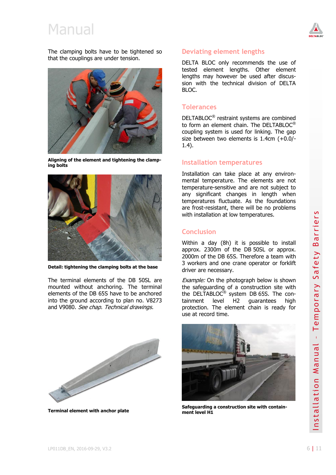

The clamping bolts have to be tightened so that the couplings are under tension.



**Aligning of the element and tightening the clamping bolts**



**Detail: tightening the clamping bolts at the base**

The terminal elements of the DB 50SL are mounted without anchoring. The terminal elements of the DB 65S have to be anchored into the ground according to plan no. V8273 and V9080. See chap. Technical drawings.



**Terminal element with anchor plate**

#### **Deviating element lengths**

DELTA BLOC only recommends the use of tested element lengths. Other element lengths may however be used after discussion with the technical division of DELTA BLOC.

#### **Tolerances**

DELTABLOC® restraint systems are combined to form an element chain. The DELTABLOC® coupling system is used for linking. The gap size between two elements is 1.4cm (+0.0/- 1.4).

#### **Installation temperatures**

Installation can take place at any environmental temperature. The elements are not temperature-sensitive and are not subject to any significant changes in length when temperatures fluctuate. As the foundations are frost-resistant, there will be no problems with installation at low temperatures.

#### **Conclusion**

Within a day (8h) it is possible to install approx. 2300m of the DB 50SL or approx. 2000m of the DB 65S. Therefore a team with 3 workers and one crane operator or forklift driver are necessary.

Example: On the photograph below is shown the safeguarding of a construction site with the DELTABLOC<sup>®</sup> system DB 65S. The containment level H2 guarantees high protection. The element chain is ready for use at record time.



**Safeguarding a construction site with containment level H1**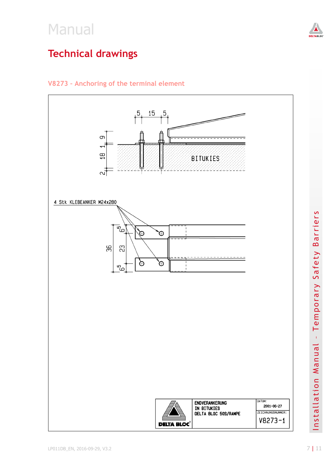<span id="page-6-0"></span>

### V8273 - Anchoring of the terminal element



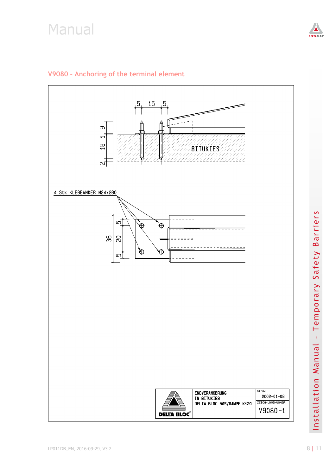



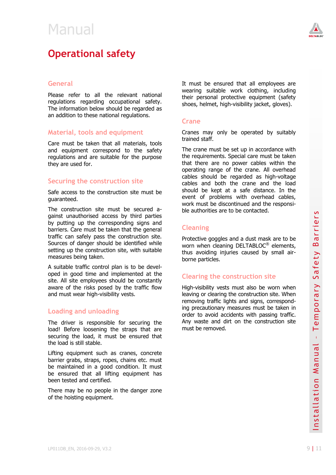<span id="page-8-0"></span>



#### **General**

Please refer to all the relevant national regulations regarding occupational safety. The information below should be regarded as an addition to these national regulations.

#### **Material, tools and equipment**

Care must be taken that all materials, tools and equipment correspond to the safety regulations and are suitable for the purpose they are used for.

#### **Securing the construction site**

Safe access to the construction site must be guaranteed.

The construction site must be secured against unauthorised access by third parties by putting up the corresponding signs and barriers. Care must be taken that the general traffic can safely pass the construction site. Sources of danger should be identified while setting up the construction site, with suitable measures being taken.

A suitable traffic control plan is to be developed in good time and implemented at the site. All site employees should be constantly aware of the risks posed by the traffic flow and must wear high-visibility vests.

#### **Loading and unloading**

The driver is responsible for securing the load! Before loosening the straps that are securing the load, it must be ensured that the load is still stable.

Lifting equipment such as cranes, concrete barrier grabs, straps, ropes, chains etc. must be maintained in a good condition. It must be ensured that all lifting equipment has been tested and certified.

There may be no people in the danger zone of the hoisting equipment.

It must be ensured that all employees are wearing suitable work clothing, including their personal protective equipment (safety shoes, helmet, high-visibility jacket, gloves).

#### **Crane**

Cranes may only be operated by suitably trained staff.

The crane must be set up in accordance with the requirements. Special care must be taken that there are no power cables within the operating range of the crane. All overhead cables should be regarded as high-voltage cables and both the crane and the load should be kept at a safe distance. In the event of problems with overhead cables, work must be discontinued and the responsible authorities are to be contacted.

#### **Cleaning**

Protective goggles and a dust mask are to be worn when cleaning DELTABLOC<sup>®</sup> elements, thus avoiding injuries caused by small airborne particles.

#### **Clearing the construction site**

such as empoyees solour or constanting<br>state of the risks posed by the traffic flow<br>and must wear high-visibility vests.<br>And must wear high-visibility vests.<br>
In a mord manual emporary measures must be taken in<br>
the driver High-visibility vests must also be worn when leaving or clearing the construction site. When removing traffic lights and signs, corresponding precautionary measures must be taken in order to avoid accidents with passing traffic. Any waste and dirt on the construction site must be removed.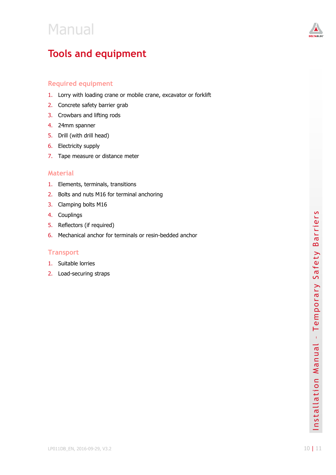

### <span id="page-9-0"></span>**Tools and equipment**

#### **Required equipment**

- 1. Lorry with loading crane or mobile crane, excavator or forklift
- 2. Concrete safety barrier grab
- 3. Crowbars and lifting rods
- 4. 24mm spanner
- 5. Drill (with drill head)
- 6. Electricity supply
- 7. Tape measure or distance meter

#### **Material**

- 1. Elements, terminals, transitions
- 2. Bolts and nuts M16 for terminal anchoring
- 3. Clamping bolts M16
- 4. Couplings
- 5. Reflectors (if required)
- 6. Mechanical anchor for terminals or resin -bedded anchor

#### **Transport**

- 1. Suitable lorries
- 2. Load -securing straps